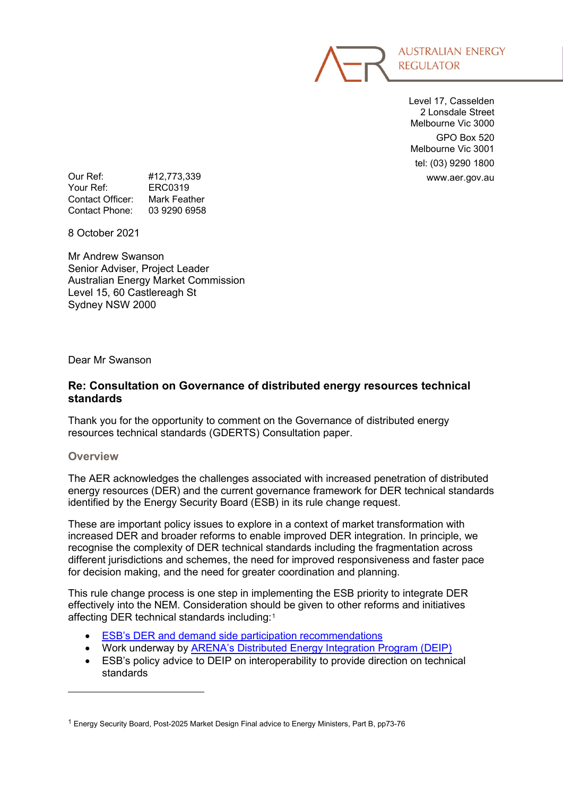

Level 17, Casselden 2 Lonsdale Street Melbourne Vic 3000 GPO Box 520 Melbourne Vic 3001 tel: (03) 9290 1800

Our Ref: #12,773,339 www.aer.gov.au Your Ref: Contact Officer: Mark Feather Contact Phone: 03 9290 6958

8 October 2021

Mr Andrew Swanson Senior Adviser, Project Leader Australian Energy Market Commission Level 15, 60 Castlereagh St Sydney NSW 2000

Dear Mr Swanson

# **Re: Consultation on Governance of distributed energy resources technical standards**

Thank you for the opportunity to comment on the Governance of distributed energy resources technical standards (GDERTS) Consultation paper.

# **Overview**

The AER acknowledges the challenges associated with increased penetration of distributed energy resources (DER) and the current governance framework for DER technical standards identified by the Energy Security Board (ESB) in its rule change request.

These are important policy issues to explore in a context of market transformation with increased DER and broader reforms to enable improved DER integration. In principle, we recognise the complexity of DER technical standards including the fragmentation across different jurisdictions and schemes, the need for improved responsiveness and faster pace for decision making, and the need for greater coordination and planning.

This rule change process is one step in implementing the ESB priority to integrate DER effectively into the NEM. Consideration should be given to other reforms and initiatives affecting DER technical standards including:[1](#page-0-0)

- **[ESB's DER and demand side participation recommendations](https://esb-post2025-market-design.aemc.gov.au/final-advice-july-2021)**
- Work underway by **ARENA's Distributed Energy Integration Program (DEIP)**
- ESB's policy advice to DEIP on interoperability to provide direction on technical standards

<span id="page-0-0"></span><sup>1</sup> Energy Security Board, Post-2025 Market Design Final advice to Energy Ministers, Part B, pp73-76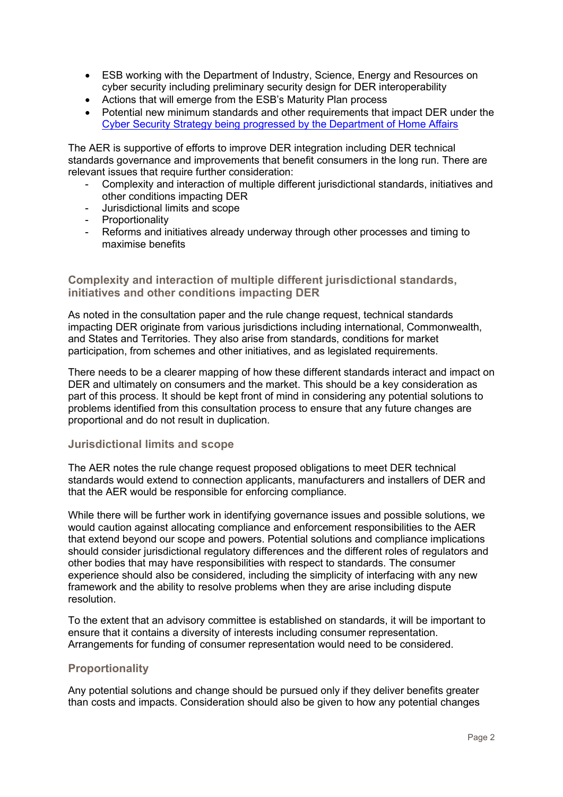- ESB working with the Department of Industry, Science, Energy and Resources on cyber security including preliminary security design for DER interoperability
- Actions that will emerge from the ESB's Maturity Plan process
- Potential new minimum standards and other requirements that impact DER under the [Cyber Security Strategy being progressed by the Department of Home Affairs](https://www.homeaffairs.gov.au/reports-and-publications/submissions-and-discussion-papers/cyber-security-regulations-incentives)

The AER is supportive of efforts to improve DER integration including DER technical standards governance and improvements that benefit consumers in the long run. There are relevant issues that require further consideration:

- Complexity and interaction of multiple different jurisdictional standards, initiatives and other conditions impacting DER
- Jurisdictional limits and scope
- Proportionality
- Reforms and initiatives already underway through other processes and timing to maximise benefits

### **Complexity and interaction of multiple different jurisdictional standards, initiatives and other conditions impacting DER**

As noted in the consultation paper and the rule change request, technical standards impacting DER originate from various jurisdictions including international, Commonwealth, and States and Territories. They also arise from standards, conditions for market participation, from schemes and other initiatives, and as legislated requirements.

There needs to be a clearer mapping of how these different standards interact and impact on DER and ultimately on consumers and the market. This should be a key consideration as part of this process. It should be kept front of mind in considering any potential solutions to problems identified from this consultation process to ensure that any future changes are proportional and do not result in duplication.

#### **Jurisdictional limits and scope**

The AER notes the rule change request proposed obligations to meet DER technical standards would extend to connection applicants, manufacturers and installers of DER and that the AER would be responsible for enforcing compliance.

While there will be further work in identifying governance issues and possible solutions, we would caution against allocating compliance and enforcement responsibilities to the AER that extend beyond our scope and powers. Potential solutions and compliance implications should consider jurisdictional regulatory differences and the different roles of regulators and other bodies that may have responsibilities with respect to standards. The consumer experience should also be considered, including the simplicity of interfacing with any new framework and the ability to resolve problems when they are arise including dispute resolution.

To the extent that an advisory committee is established on standards, it will be important to ensure that it contains a diversity of interests including consumer representation. Arrangements for funding of consumer representation would need to be considered.

# **Proportionality**

Any potential solutions and change should be pursued only if they deliver benefits greater than costs and impacts. Consideration should also be given to how any potential changes